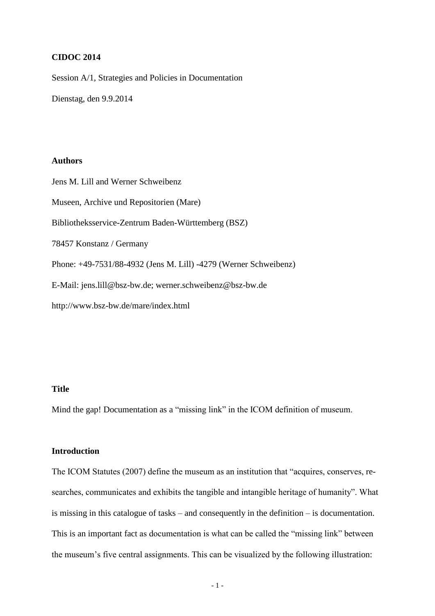## **CIDOC 2014**

Session A/1, Strategies and Policies in Documentation

Dienstag, den 9.9.2014

# **Authors**

Jens M. Lill and Werner Schweibenz Museen, Archive und Repositorien (Mare) Bibliotheksservice-Zentrum Baden-Württemberg (BSZ) 78457 Konstanz / Germany Phone: +49-7531/88-4932 (Jens M. Lill) -4279 (Werner Schweibenz) E-Mail: jens.lill@bsz-bw.de; werner.schweibenz@bsz-bw.de http://www.bsz-bw.de/mare/index.html

# **Title**

Mind the gap! Documentation as a "missing link" in the ICOM definition of museum.

## **Introduction**

The ICOM Statutes (2007) define the museum as an institution that "acquires, conserves, researches, communicates and exhibits the tangible and intangible heritage of humanity". What is missing in this catalogue of tasks – and consequently in the definition – is documentation. This is an important fact as documentation is what can be called the "missing link" between the museum's five central assignments. This can be visualized by the following illustration: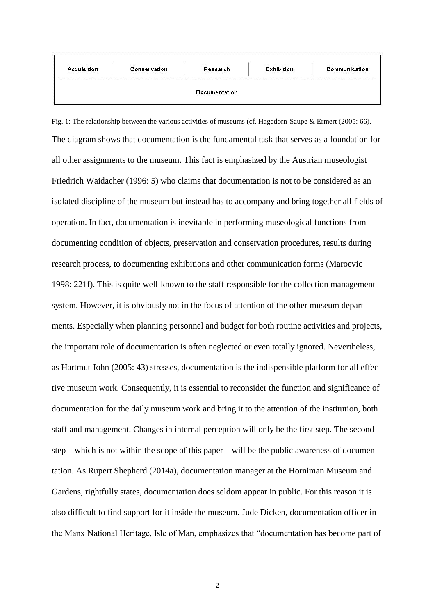| Acquisition | Conservation | Research      | <b>Exhibition</b> | Communication |
|-------------|--------------|---------------|-------------------|---------------|
|             |              | Documentation |                   |               |

Fig. 1: The relationship between the various activities of museums (cf. Hagedorn-Saupe & Ermert (2005: 66). The diagram shows that documentation is the fundamental task that serves as a foundation for all other assignments to the museum. This fact is emphasized by the Austrian museologist Friedrich Waidacher (1996: 5) who claims that documentation is not to be considered as an isolated discipline of the museum but instead has to accompany and bring together all fields of operation. In fact, documentation is inevitable in performing museological functions from documenting condition of objects, preservation and conservation procedures, results during research process, to documenting exhibitions and other communication forms (Maroevic 1998: 221f). This is quite well-known to the staff responsible for the collection management system. However, it is obviously not in the focus of attention of the other museum departments. Especially when planning personnel and budget for both routine activities and projects, the important role of documentation is often neglected or even totally ignored. Nevertheless, as Hartmut John (2005: 43) stresses, documentation is the indispensible platform for all effective museum work. Consequently, it is essential to reconsider the function and significance of documentation for the daily museum work and bring it to the attention of the institution, both staff and management. Changes in internal perception will only be the first step. The second step – which is not within the scope of this paper – will be the public awareness of documentation. As Rupert Shepherd (2014a), documentation manager at the Horniman Museum and Gardens, rightfully states, documentation does seldom appear in public. For this reason it is also difficult to find support for it inside the museum. Jude Dicken, documentation officer in the Manx National Heritage, Isle of Man, emphasizes that "documentation has become part of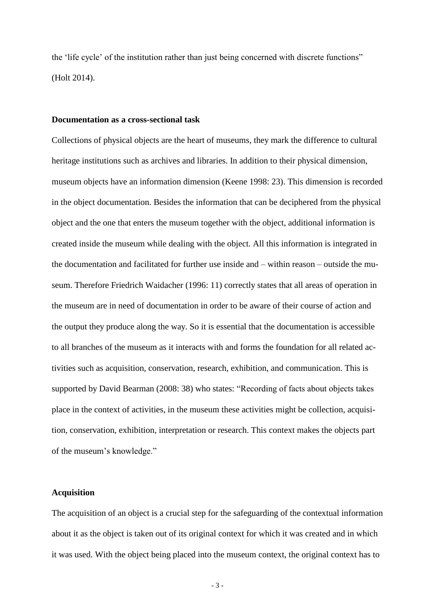the 'life cycle' of the institution rather than just being concerned with discrete functions" (Holt 2014).

#### **Documentation as a cross-sectional task**

Collections of physical objects are the heart of museums, they mark the difference to cultural heritage institutions such as archives and libraries. In addition to their physical dimension, museum objects have an information dimension (Keene 1998: 23). This dimension is recorded in the object documentation. Besides the information that can be deciphered from the physical object and the one that enters the museum together with the object, additional information is created inside the museum while dealing with the object. All this information is integrated in the documentation and facilitated for further use inside and – within reason – outside the museum. Therefore Friedrich Waidacher (1996: 11) correctly states that all areas of operation in the museum are in need of documentation in order to be aware of their course of action and the output they produce along the way. So it is essential that the documentation is accessible to all branches of the museum as it interacts with and forms the foundation for all related activities such as acquisition, conservation, research, exhibition, and communication. This is supported by David Bearman (2008: 38) who states: "Recording of facts about objects takes place in the context of activities, in the museum these activities might be collection, acquisition, conservation, exhibition, interpretation or research. This context makes the objects part of the museum's knowledge."

### **Acquisition**

The acquisition of an object is a crucial step for the safeguarding of the contextual information about it as the object is taken out of its original context for which it was created and in which it was used. With the object being placed into the museum context, the original context has to

- 3 -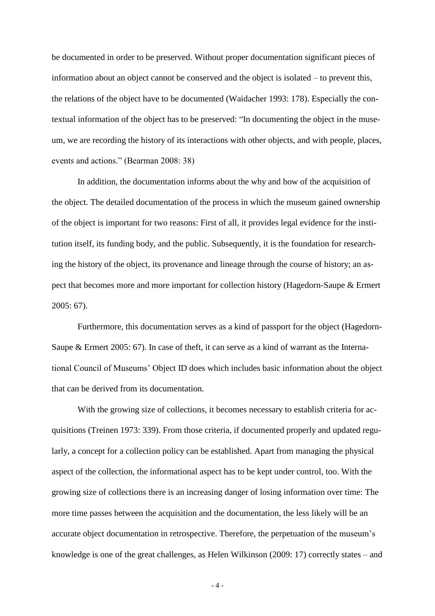be documented in order to be preserved. Without proper documentation significant pieces of information about an object cannot be conserved and the object is isolated – to prevent this, the relations of the object have to be documented (Waidacher 1993: 178). Especially the contextual information of the object has to be preserved: "In documenting the object in the museum, we are recording the history of its interactions with other objects, and with people, places, events and actions." (Bearman 2008: 38)

In addition, the documentation informs about the why and how of the acquisition of the object. The detailed documentation of the process in which the museum gained ownership of the object is important for two reasons: First of all, it provides legal evidence for the institution itself, its funding body, and the public. Subsequently, it is the foundation for researching the history of the object, its provenance and lineage through the course of history; an aspect that becomes more and more important for collection history (Hagedorn-Saupe & Ermert 2005: 67).

Furthermore, this documentation serves as a kind of passport for the object (Hagedorn-Saupe & Ermert 2005: 67). In case of theft, it can serve as a kind of warrant as the International Council of Museums' Object ID does which includes basic information about the object that can be derived from its documentation.

With the growing size of collections, it becomes necessary to establish criteria for acquisitions (Treinen 1973: 339). From those criteria, if documented properly and updated regularly, a concept for a collection policy can be established. Apart from managing the physical aspect of the collection, the informational aspect has to be kept under control, too. With the growing size of collections there is an increasing danger of losing information over time: The more time passes between the acquisition and the documentation, the less likely will be an accurate object documentation in retrospective. Therefore, the perpetuation of the museum's knowledge is one of the great challenges, as Helen Wilkinson (2009: 17) correctly states – and

- 4 -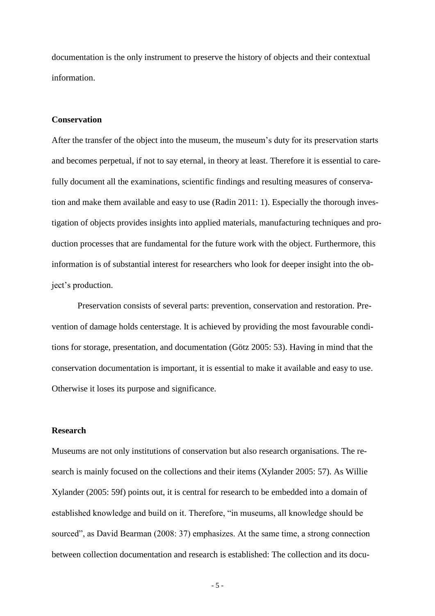documentation is the only instrument to preserve the history of objects and their contextual information.

#### **Conservation**

After the transfer of the object into the museum, the museum's duty for its preservation starts and becomes perpetual, if not to say eternal, in theory at least. Therefore it is essential to carefully document all the examinations, scientific findings and resulting measures of conservation and make them available and easy to use (Radin 2011: 1). Especially the thorough investigation of objects provides insights into applied materials, manufacturing techniques and production processes that are fundamental for the future work with the object. Furthermore, this information is of substantial interest for researchers who look for deeper insight into the object's production.

Preservation consists of several parts: prevention, conservation and restoration. Prevention of damage holds centerstage. It is achieved by providing the most favourable conditions for storage, presentation, and documentation (Götz 2005: 53). Having in mind that the conservation documentation is important, it is essential to make it available and easy to use. Otherwise it loses its purpose and significance.

### **Research**

Museums are not only institutions of conservation but also research organisations. The research is mainly focused on the collections and their items (Xylander 2005: 57). As Willie Xylander (2005: 59f) points out, it is central for research to be embedded into a domain of established knowledge and build on it. Therefore, "in museums, all knowledge should be sourced", as David Bearman (2008: 37) emphasizes. At the same time, a strong connection between collection documentation and research is established: The collection and its docu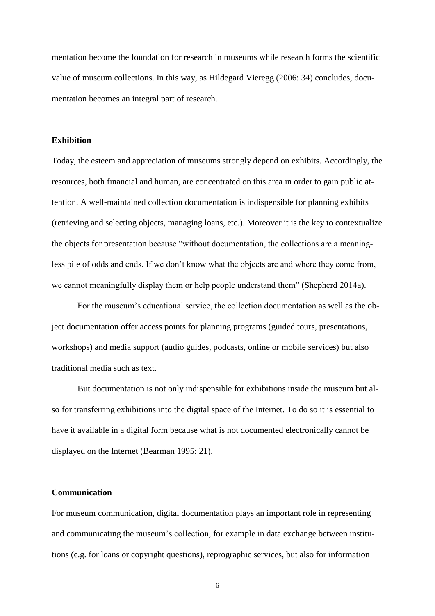mentation become the foundation for research in museums while research forms the scientific value of museum collections. In this way, as Hildegard Vieregg (2006: 34) concludes, documentation becomes an integral part of research.

## **Exhibition**

Today, the esteem and appreciation of museums strongly depend on exhibits. Accordingly, the resources, both financial and human, are concentrated on this area in order to gain public attention. A well-maintained collection documentation is indispensible for planning exhibits (retrieving and selecting objects, managing loans, etc.). Moreover it is the key to contextualize the objects for presentation because "without documentation, the collections are a meaningless pile of odds and ends. If we don't know what the objects are and where they come from, we cannot meaningfully display them or help people understand them" (Shepherd 2014a).

For the museum's educational service, the collection documentation as well as the object documentation offer access points for planning programs (guided tours, presentations, workshops) and media support (audio guides, podcasts, online or mobile services) but also traditional media such as text.

But documentation is not only indispensible for exhibitions inside the museum but also for transferring exhibitions into the digital space of the Internet. To do so it is essential to have it available in a digital form because what is not documented electronically cannot be displayed on the Internet (Bearman 1995: 21).

# **Communication**

For museum communication, digital documentation plays an important role in representing and communicating the museum's collection, for example in data exchange between institutions (e.g. for loans or copyright questions), reprographic services, but also for information

- 6 -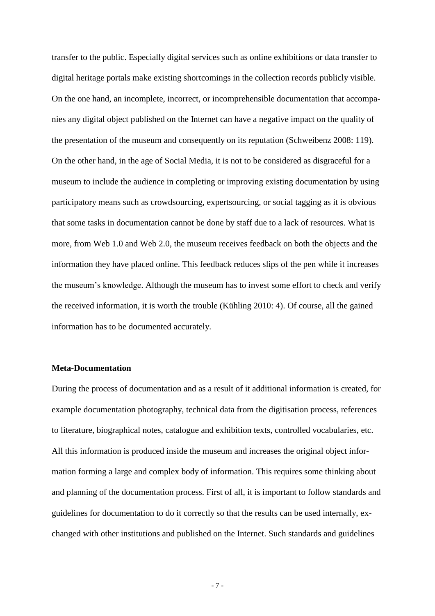transfer to the public. Especially digital services such as online exhibitions or data transfer to digital heritage portals make existing shortcomings in the collection records publicly visible. On the one hand, an incomplete, incorrect, or incomprehensible documentation that accompanies any digital object published on the Internet can have a negative impact on the quality of the presentation of the museum and consequently on its reputation (Schweibenz 2008: 119). On the other hand, in the age of Social Media, it is not to be considered as disgraceful for a museum to include the audience in completing or improving existing documentation by using participatory means such as crowdsourcing, expertsourcing, or social tagging as it is obvious that some tasks in documentation cannot be done by staff due to a lack of resources. What is more, from Web 1.0 and Web 2.0, the museum receives feedback on both the objects and the information they have placed online. This feedback reduces [slips](http://dict.leo.org/ende/index_de.html#/search=slip&searchLoc=0&resultOrder=basic&multiwordShowSingle=on) [of](http://dict.leo.org/ende/index_de.html#/search=of&searchLoc=0&resultOrder=basic&multiwordShowSingle=on) [the](http://dict.leo.org/ende/index_de.html#/search=the&searchLoc=0&resultOrder=basic&multiwordShowSingle=on) [pen](http://dict.leo.org/ende/index_de.html#/search=pen&searchLoc=0&resultOrder=basic&multiwordShowSingle=on) while it increases the museum's knowledge. Although the museum has to invest some effort to check and verify the received information, it is worth the trouble (Kühling 2010: 4). Of course, all the gained information has to be documented accurately.

### **Meta-Documentation**

During the process of documentation and as a result of it additional information is created, for example documentation photography, technical data from the digitisation process, references to literature, biographical notes, catalogue and exhibition texts, controlled vocabularies, etc. All this information is produced inside the museum and increases the original object information forming a large and complex body of information. This requires some thinking about and planning of the documentation process. First of all, it is important to follow standards and guidelines for documentation to do it correctly so that the results can be used internally, exchanged with other institutions and published on the Internet. Such standards and guidelines

- 7 -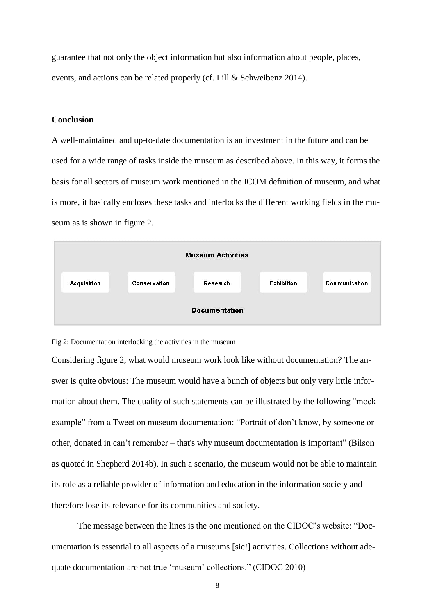guarantee that not only the object information but also information about people, places, events, and actions can be related properly (cf. Lill & Schweibenz 2014).

## **Conclusion**

A well-maintained and up-to-date documentation is an investment in the future and can be used for a wide range of tasks inside the museum as described above. In this way, it forms the basis for all sectors of museum work mentioned in the ICOM definition of museum, and what is more, it basically encloses these tasks and interlocks the different working fields in the museum as is shown in figure 2.





Considering figure 2, what would museum work look like without documentation? The answer is quite obvious: The museum would have a bunch of objects but only very little information about them. The quality of such statements can be illustrated by the following "mock example" from a Tweet on museum documentation: "Portrait of don't know, by someone or other, donated in can't remember – that's why museum documentation is important" (Bilson as quoted in Shepherd 2014b). In such a scenario, the museum would not be able to maintain its role as a reliable provider of information and education in the information society and therefore lose its relevance for its communities and society.

The message between the lines is the one mentioned on the CIDOC's website: "Documentation is essential to all aspects of a museums [sic!] activities. Collections without adequate documentation are not true 'museum' collections." (CIDOC 2010)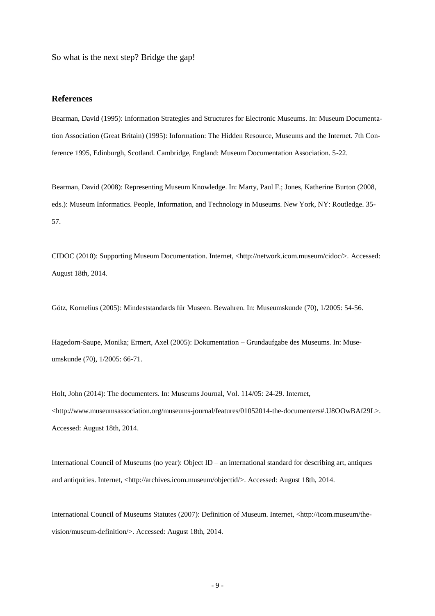So what is the next step? Bridge the gap!

#### **References**

Bearman, David (1995): Information Strategies and Structures for Electronic Museums. In: Museum Documentation Association (Great Britain) (1995): Information: The Hidden Resource, Museums and the Internet. 7th Conference 1995, Edinburgh, Scotland. Cambridge, England: Museum Documentation Association. 5-22.

Bearman, David (2008): Representing Museum Knowledge. In: Marty, Paul F.; Jones, Katherine Burton (2008, eds.): Museum Informatics. People, Information, and Technology in Museums. New York, NY: Routledge. 35- 57.

CIDOC (2010): Supporting Museum Documentation. Internet, <http://network.icom.museum/cidoc/>. Accessed: August 18th, 2014.

Götz, Kornelius (2005): Mindeststandards für Museen. Bewahren. In: Museumskunde (70), 1/2005: 54-56.

Hagedorn-Saupe, Monika; Ermert, Axel (2005): Dokumentation – Grundaufgabe des Museums. In: Museumskunde (70), 1/2005: 66-71.

Holt, John (2014): The documenters. In: Museums Journal, Vol. 114/05: 24-29. Internet, [<http://www.museumsassociation.org/museums-journal/features/01052014-the-documenters#.U8OOwBAf29L>](http://www.museumsassociation.org/museums-journal/features/01052014-the-documenters#.U8OOwBAf29L). Accessed: August 18th, 2014.

International Council of Museums (no year): Object ID – an international standard for describing art, antiques and antiquities. Internet, <http://archives.icom.museum/objectid/>. Accessed: August 18th, 2014.

International Council of Museums Statutes (2007): Definition of Museum. Internet, <http://icom.museum/thevision/museum-definition/>. Accessed: August 18th, 2014.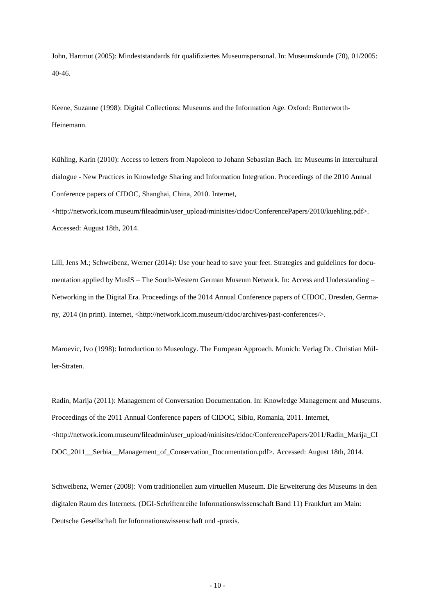John, Hartmut (2005): Mindeststandards für qualifiziertes Museumspersonal. In: Museumskunde (70), 01/2005: 40-46.

Keene, Suzanne (1998): Digital Collections: Museums and the Information Age. Oxford: Butterworth-Heinemann.

Kühling, Karin (2010): Access to letters from Napoleon to Johann Sebastian Bach. In: Museums in intercultural dialogue - New Practices in Knowledge Sharing and Information Integration. Proceedings of the 2010 Annual Conference papers of CIDOC, Shanghai, China, 2010. Internet,

<http://network.icom.museum/fileadmin/user\_upload/minisites/cidoc/ConferencePapers/2010/kuehling.pdf>. Accessed: August 18th, 2014.

Lill, Jens M.; Schweibenz, Werner (2014): Use your head to save your feet. Strategies and guidelines for documentation applied by MusIS – The South-Western German Museum Network. In: Access and Understanding – Networking in the Digital Era. Proceedings of the 2014 Annual Conference papers of CIDOC, Dresden, Germany, 2014 (in print). Internet, <http://network.icom.museum/cidoc/archives/past-conferences/>.

Maroevic, Ivo (1998): Introduction to Museology. The European Approach. Munich: Verlag Dr. Christian Müller-Straten.

Radin, Marija (2011): Management of Conversation Documentation. In: Knowledge Management and Museums. Proceedings of the 2011 Annual Conference papers of CIDOC, Sibiu, Romania, 2011. Internet, <http://network.icom.museum/fileadmin/user\_upload/minisites/cidoc/ConferencePapers/2011/Radin\_Marija\_CI DOC\_2011\_\_Serbia\_\_Management\_of\_Conservation\_Documentation.pdf>. Accessed: August 18th, 2014.

Schweibenz, Werner (2008): Vom traditionellen zum virtuellen Museum. Die Erweiterung des Museums in den digitalen Raum des Internets. (DGI-Schriftenreihe Informationswissenschaft Band 11) Frankfurt am Main: Deutsche Gesellschaft für Informationswissenschaft und -praxis.